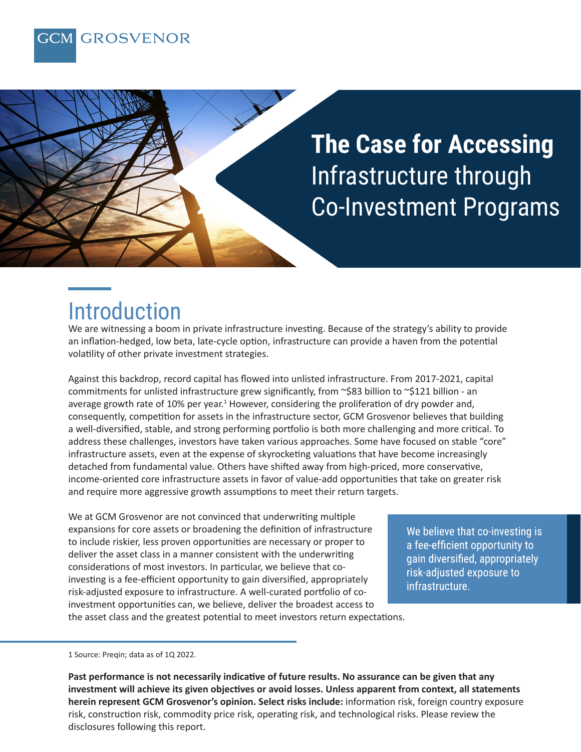



### Introduction

We are witnessing a boom in private infrastructure investing. Because of the strategy's ability to provide an inflation-hedged, low beta, late-cycle option, infrastructure can provide a haven from the potential volatility of other private investment strategies.

Against this backdrop, record capital has flowed into unlisted infrastructure. From 2017-2021, capital commitments for unlisted infrastructure grew significantly, from ~\$83 billion to ~\$121 billion - an average growth rate of 10% per year.<sup>1</sup> However, considering the proliferation of dry powder and, consequently, competition for assets in the infrastructure sector, GCM Grosvenor believes that building a well-diversified, stable, and strong performing portfolio is both more challenging and more critical. To address these challenges, investors have taken various approaches. Some have focused on stable "core" infrastructure assets, even at the expense of skyrocketing valuations that have become increasingly detached from fundamental value. Others have shifted away from high-priced, more conservative, income-oriented core infrastructure assets in favor of value-add opportunities that take on greater risk and require more aggressive growth assumptions to meet their return targets.

We at GCM Grosvenor are not convinced that underwriting multiple expansions for core assets or broadening the definition of infrastructure to include riskier, less proven opportunities are necessary or proper to deliver the asset class in a manner consistent with the underwriting considerations of most investors. In particular, we believe that coinvesting is a fee-efficient opportunity to gain diversified, appropriately risk-adjusted exposure to infrastructure. A well-curated portfolio of coinvestment opportunities can, we believe, deliver the broadest access to the asset class and the greatest potential to meet investors return expectations.

We believe that co-investing is a fee-efficient opportunity to gain diversified, appropriately risk-adjusted exposure to infrastructure.

1 Source: Preqin; data as of 1Q 2022.

**Past performance is not necessarily indicative of future results. No assurance can be given that any investment will achieve its given objectives or avoid losses. Unless apparent from context, all statements herein represent GCM Grosvenor's opinion. Select risks include:** information risk, foreign country exposure risk, construction risk, commodity price risk, operating risk, and technological risks. Please review the disclosures following this report.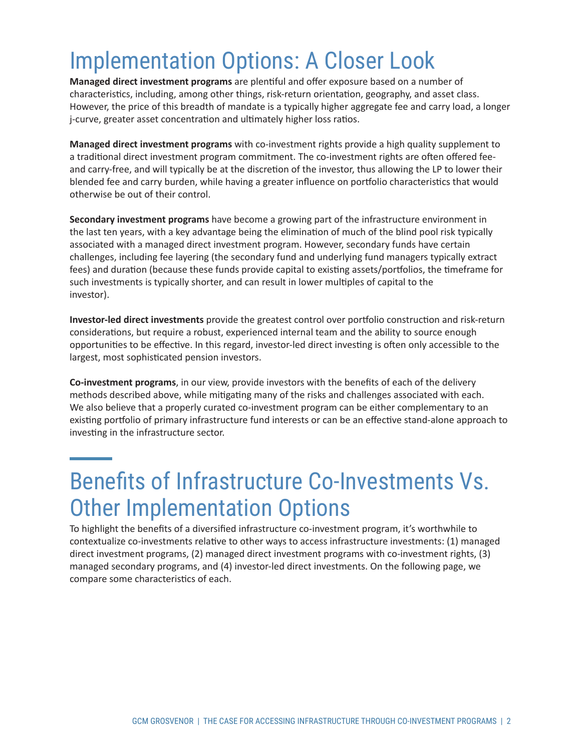# Implementation Options: A Closer Look

**Managed direct investment programs** are plentiful and offer exposure based on a number of characteristics, including, among other things, risk-return orientation, geography, and asset class. However, the price of this breadth of mandate is a typically higher aggregate fee and carry load, a longer j-curve, greater asset concentration and ultimately higher loss ratios.

**Managed direct investment programs** with co-investment rights provide a high quality supplement to a traditional direct investment program commitment. The co-investment rights are often offered feeand carry-free, and will typically be at the discretion of the investor, thus allowing the LP to lower their blended fee and carry burden, while having a greater influence on portfolio characteristics that would otherwise be out of their control.

**Secondary investment programs** have become a growing part of the infrastructure environment in the last ten years, with a key advantage being the elimination of much of the blind pool risk typically associated with a managed direct investment program. However, secondary funds have certain challenges, including fee layering (the secondary fund and underlying fund managers typically extract fees) and duration (because these funds provide capital to existing assets/portfolios, the timeframe for such investments is typically shorter, and can result in lower multiples of capital to the investor).

**Investor-led direct investments** provide the greatest control over portfolio construction and risk-return considerations, but require a robust, experienced internal team and the ability to source enough opportunities to be effective. In this regard, investor-led direct investing is often only accessible to the largest, most sophisticated pension investors.

**Co-investment programs**, in our view, provide investors with the benefits of each of the delivery methods described above, while mitigating many of the risks and challenges associated with each. We also believe that a properly curated co-investment program can be either complementary to an existing portfolio of primary infrastructure fund interests or can be an effective stand-alone approach to investing in the infrastructure sector.

### Benefits of Infrastructure Co-Investments Vs. Other Implementation Options

To highlight the benefits of a diversified infrastructure co-investment program, it's worthwhile to contextualize co-investments relative to other ways to access infrastructure investments: (1) managed direct investment programs, (2) managed direct investment programs with co-investment rights, (3) managed secondary programs, and (4) investor-led direct investments. On the following page, we compare some characteristics of each.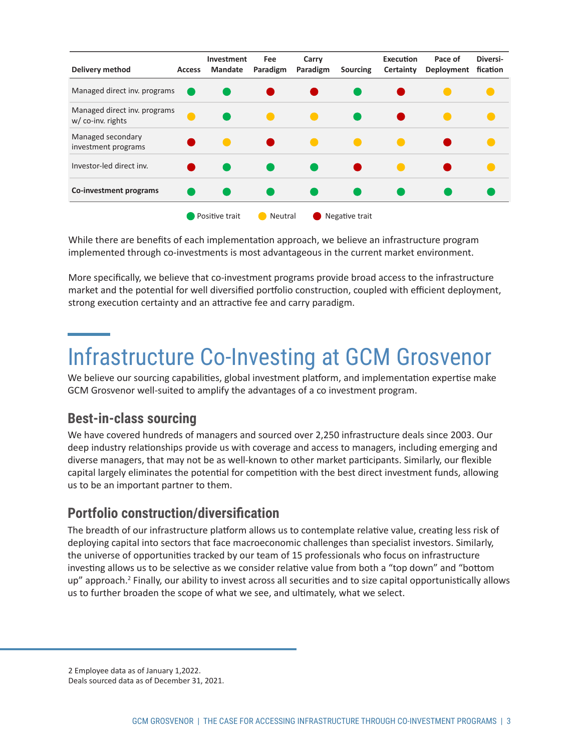| Delivery method                                   | <b>Access</b> | <b>Investment</b><br><b>Mandate</b> | Fee<br>Paradigm | Carry<br>Paradigm | Sourcing       | Execution<br>Certainty | Pace of<br>Deployment | Diversi-<br>fication |
|---------------------------------------------------|---------------|-------------------------------------|-----------------|-------------------|----------------|------------------------|-----------------------|----------------------|
| Managed direct inv. programs                      |               |                                     |                 |                   |                |                        |                       |                      |
| Managed direct inv. programs<br>w/ co-inv. rights |               |                                     |                 |                   |                |                        |                       |                      |
| Managed secondary<br>investment programs          |               |                                     |                 |                   |                |                        |                       |                      |
| Investor-led direct inv.                          |               |                                     |                 |                   |                |                        |                       |                      |
| Co-investment programs                            |               |                                     |                 |                   |                |                        |                       |                      |
|                                                   |               | Positive trait                      | Neutral         |                   | Negative trait |                        |                       |                      |

While there are benefits of each implementation approach, we believe an infrastructure program implemented through co-investments is most advantageous in the current market environment.

More specifically, we believe that co-investment programs provide broad access to the infrastructure market and the potential for well diversified portfolio construction, coupled with efficient deployment, strong execution certainty and an attractive fee and carry paradigm.

## Infrastructure Co-Investing at GCM Grosvenor

We believe our sourcing capabilities, global investment platform, and implementation expertise make GCM Grosvenor well-suited to amplify the advantages of a co investment program.

#### **Best-in-class sourcing**

We have covered hundreds of managers and sourced over 2,250 infrastructure deals since 2003. Our deep industry relationships provide us with coverage and access to managers, including emerging and diverse managers, that may not be as well-known to other market participants. Similarly, our flexible capital largely eliminates the potential for competition with the best direct investment funds, allowing us to be an important partner to them.

#### **Portfolio construction/diversification**

The breadth of our infrastructure platform allows us to contemplate relative value, creating less risk of deploying capital into sectors that face macroeconomic challenges than specialist investors. Similarly, the universe of opportunities tracked by our team of 15 professionals who focus on infrastructure investing allows us to be selective as we consider relative value from both a "top down" and "bottom up" approach.<sup>2</sup> Finally, our ability to invest across all securities and to size capital opportunistically allows us to further broaden the scope of what we see, and ultimately, what we select.

2 Employee data as of January 1,2022. Deals sourced data as of December 31, 2021.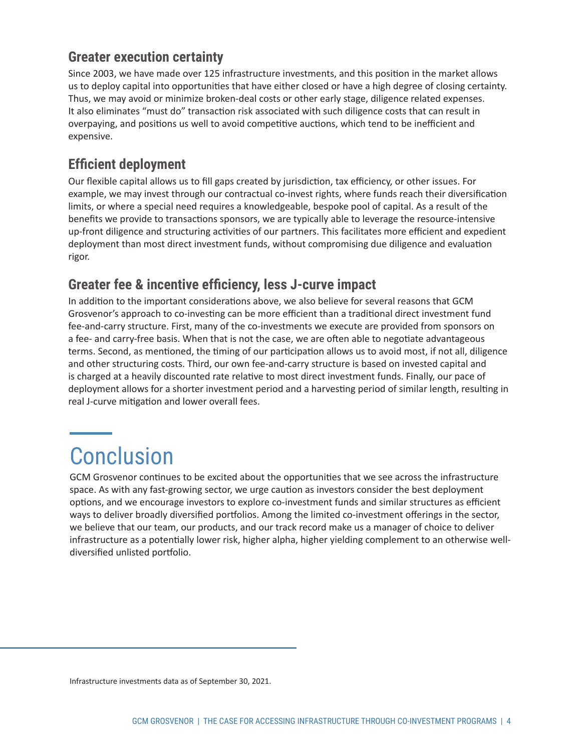#### **Greater execution certainty**

Since 2003, we have made over 125 infrastructure investments, and this position in the market allows us to deploy capital into opportunities that have either closed or have a high degree of closing certainty. Thus, we may avoid or minimize broken-deal costs or other early stage, diligence related expenses. It also eliminates "must do" transaction risk associated with such diligence costs that can result in overpaying, and positions us well to avoid competitive auctions, which tend to be inefficient and expensive.

### **Efficient deployment**

Our flexible capital allows us to fill gaps created by jurisdiction, tax efficiency, or other issues. For example, we may invest through our contractual co-invest rights, where funds reach their diversification limits, or where a special need requires a knowledgeable, bespoke pool of capital. As a result of the benefits we provide to transactions sponsors, we are typically able to leverage the resource-intensive up-front diligence and structuring activities of our partners. This facilitates more efficient and expedient deployment than most direct investment funds, without compromising due diligence and evaluation rigor.

### **Greater fee & incentive efficiency, less J-curve impact**

In addition to the important considerations above, we also believe for several reasons that GCM Grosvenor's approach to co-investing can be more efficient than a traditional direct investment fund fee-and-carry structure. First, many of the co-investments we execute are provided from sponsors on a fee- and carry-free basis. When that is not the case, we are often able to negotiate advantageous terms. Second, as mentioned, the timing of our participation allows us to avoid most, if not all, diligence and other structuring costs. Third, our own fee-and-carry structure is based on invested capital and is charged at a heavily discounted rate relative to most direct investment funds. Finally, our pace of deployment allows for a shorter investment period and a harvesting period of similar length, resulting in real J-curve mitigation and lower overall fees.

# **Conclusion**

GCM Grosvenor continues to be excited about the opportunities that we see across the infrastructure space. As with any fast-growing sector, we urge caution as investors consider the best deployment options, and we encourage investors to explore co-investment funds and similar structures as efficient ways to deliver broadly diversified portfolios. Among the limited co-investment offerings in the sector, we believe that our team, our products, and our track record make us a manager of choice to deliver infrastructure as a potentially lower risk, higher alpha, higher yielding complement to an otherwise welldiversified unlisted portfolio.

Infrastructure investments data as of September 30, 2021.